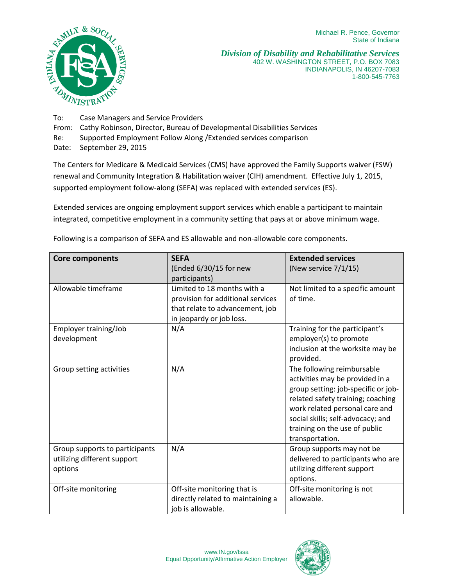

*Division of Disability and Rehabilitative Services* 402 W. WASHINGTON STREET, P.O. BOX 7083 INDIANAPOLIS, IN 46207-7083 1-800-545-7763

To: Case Managers and Service Providers

From: Cathy Robinson, Director, Bureau of Developmental Disabilities Services

Re: Supported Employment Follow Along /Extended services comparison

Date: September 29, 2015

The Centers for Medicare & Medicaid Services (CMS) have approved the Family Supports waiver (FSW) renewal and Community Integration & Habilitation waiver (CIH) amendment. Effective July 1, 2015, supported employment follow-along (SEFA) was replaced with extended services (ES).

Extended services are ongoing employment support services which enable a participant to maintain integrated, competitive employment in a community setting that pays at or above minimum wage.

| <b>Core components</b>                                                   | <b>SEFA</b><br>(Ended 6/30/15 for new                                                                                                            | <b>Extended services</b><br>(New service $7/1/15$ )                                                                                                                                                                                                                  |
|--------------------------------------------------------------------------|--------------------------------------------------------------------------------------------------------------------------------------------------|----------------------------------------------------------------------------------------------------------------------------------------------------------------------------------------------------------------------------------------------------------------------|
| Allowable timeframe                                                      | participants)<br>Limited to 18 months with a<br>provision for additional services<br>that relate to advancement, job<br>in jeopardy or job loss. | Not limited to a specific amount<br>of time.                                                                                                                                                                                                                         |
| Employer training/Job<br>development                                     | N/A                                                                                                                                              | Training for the participant's<br>employer(s) to promote<br>inclusion at the worksite may be<br>provided.                                                                                                                                                            |
| Group setting activities                                                 | N/A                                                                                                                                              | The following reimbursable<br>activities may be provided in a<br>group setting: job-specific or job-<br>related safety training; coaching<br>work related personal care and<br>social skills; self-advocacy; and<br>training on the use of public<br>transportation. |
| Group supports to participants<br>utilizing different support<br>options | N/A                                                                                                                                              | Group supports may not be<br>delivered to participants who are<br>utilizing different support<br>options.                                                                                                                                                            |
| Off-site monitoring                                                      | Off-site monitoring that is<br>directly related to maintaining a<br>job is allowable.                                                            | Off-site monitoring is not<br>allowable.                                                                                                                                                                                                                             |

Following is a comparison of SEFA and ES allowable and non-allowable core components.

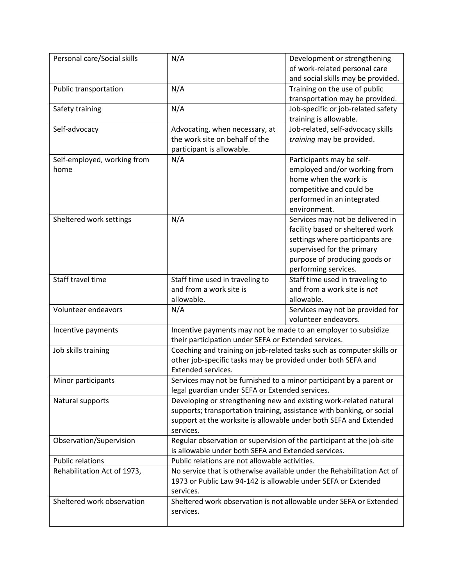| Personal care/Social skills | N/A                                                                    | Development or strengthening                                          |  |
|-----------------------------|------------------------------------------------------------------------|-----------------------------------------------------------------------|--|
|                             |                                                                        | of work-related personal care                                         |  |
|                             |                                                                        | and social skills may be provided.                                    |  |
| Public transportation       | N/A                                                                    | Training on the use of public                                         |  |
|                             |                                                                        | transportation may be provided.                                       |  |
| Safety training             | N/A                                                                    | Job-specific or job-related safety                                    |  |
|                             |                                                                        | training is allowable.                                                |  |
| Self-advocacy               | Advocating, when necessary, at                                         | Job-related, self-advocacy skills                                     |  |
|                             | the work site on behalf of the                                         | training may be provided.                                             |  |
|                             | participant is allowable.                                              |                                                                       |  |
| Self-employed, working from | N/A                                                                    | Participants may be self-                                             |  |
| home                        |                                                                        | employed and/or working from                                          |  |
|                             |                                                                        | home when the work is                                                 |  |
|                             |                                                                        | competitive and could be                                              |  |
|                             |                                                                        | performed in an integrated                                            |  |
|                             |                                                                        | environment.                                                          |  |
| Sheltered work settings     | N/A                                                                    | Services may not be delivered in                                      |  |
|                             |                                                                        | facility based or sheltered work                                      |  |
|                             |                                                                        | settings where participants are                                       |  |
|                             |                                                                        | supervised for the primary                                            |  |
|                             |                                                                        | purpose of producing goods or                                         |  |
|                             |                                                                        | performing services.                                                  |  |
| Staff travel time           | Staff time used in traveling to                                        | Staff time used in traveling to                                       |  |
|                             | and from a work site is                                                | and from a work site is not                                           |  |
|                             | allowable.                                                             | allowable.                                                            |  |
| Volunteer endeavors         | N/A                                                                    | Services may not be provided for                                      |  |
|                             |                                                                        | volunteer endeavors.                                                  |  |
| Incentive payments          | Incentive payments may not be made to an employer to subsidize         |                                                                       |  |
|                             | their participation under SEFA or Extended services.                   |                                                                       |  |
| Job skills training         |                                                                        | Coaching and training on job-related tasks such as computer skills or |  |
|                             | other job-specific tasks may be provided under both SEFA and           |                                                                       |  |
|                             | Extended services.                                                     |                                                                       |  |
| Minor participants          | Services may not be furnished to a minor participant by a parent or    |                                                                       |  |
|                             | legal guardian under SEFA or Extended services.                        |                                                                       |  |
| Natural supports            | Developing or strengthening new and existing work-related natural      |                                                                       |  |
|                             | supports; transportation training, assistance with banking, or social  |                                                                       |  |
|                             | support at the worksite is allowable under both SEFA and Extended      |                                                                       |  |
|                             | services.                                                              |                                                                       |  |
| Observation/Supervision     | Regular observation or supervision of the participant at the job-site  |                                                                       |  |
|                             | is allowable under both SEFA and Extended services.                    |                                                                       |  |
| <b>Public relations</b>     | Public relations are not allowable activities.                         |                                                                       |  |
| Rehabilitation Act of 1973, | No service that is otherwise available under the Rehabilitation Act of |                                                                       |  |
|                             | 1973 or Public Law 94-142 is allowable under SEFA or Extended          |                                                                       |  |
|                             | services.                                                              |                                                                       |  |
| Sheltered work observation  |                                                                        | Sheltered work observation is not allowable under SEFA or Extended    |  |
|                             | services.                                                              |                                                                       |  |
|                             |                                                                        |                                                                       |  |